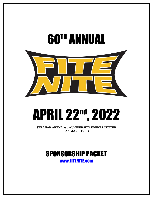

# APRIL 22nd, 2022

**STRAHAN ARENA at the UNIVERSITY EVENTS CENTER SAN MARCOS, TX**

# SPONSORSHIP PACKET [www.FITENITE.com](http://www.fitenite.com/)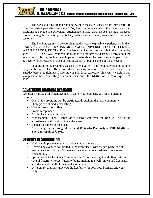The hardest hitting amateur boxing event in the state is back for its 60th year: Fite Nite. Delivering year after year since 1957, Fite Nite remains one of the longest standing traditions at Texas State University. Attendance in past years has been as much as 3,500 people, making the marketing potential sky high for your company to reach out to potential customers.

The Fite Nite team will be coordinating this year's explosive experience on Friday, April 22nd, 2022 in the **STRAHAN ARENA at the UNIVERSITY EVENTS CENTER in SAN MARCOS, TX**. The "Fite Nite Program" has become a staple in the community as MUST READ NEWS. Every year thousands of programs are distributed throughout the local area displaying the bout matchups and trash-talking between the participants. Your business will be featured in this publication as part of being a sponsor for the event.

In addition to the program, we also offer a variety of different advertising options for your business. The official Weigh-in Pre-party is another event that happens the Tuesday before the fight itself, offering you additional exposure! This year's weigh-in will take place at the heavy hitting entertainment venue **THE MARC** on Tuesday, April 19<sup>th</sup>, 2022.

## Advertising Methods Available

We offer a variety of different avenues in which your company can reach potential customers!

- Over 3,500 programs will be distributed throughout the local community
- Strategic social media marketing
- Various promotional flyers
- Promo/recap video
- Booth placement at the event
- "Sponsorship Wheel": large video board right over the ring will be rolling advertisements throughout the entire event
- Banner placement at the event
- Advertising routes through the **official Weigh-In Pre-Party** at **THE MARC** on **Tuesday, April 19 th, 2022**.

### Benefits of Sponsoring

- Highly anticipated event with a large annual attendance.
- Advertising avenues not limited to the event itself: with the pre-party, social media, website, program & the event, we expose your business over a several week period.
- Special reach to the Greek Community at Texas State: fight card often features several fraternity-versus-fraternity bouts, making it a well-known and frequently attended event for all of the Greek Community.
- Different pricing tiers give you the flexibility for both your business and your budget.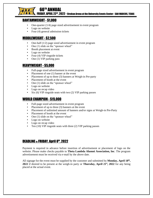

60TH ANNUAL

FRIDAY, APRIL 22<sup>nd</sup>, 2022 - Strahan Arena at the University Events Center– SAN MARCOS, TEXAS<br>.

#### BANTAMWEIGHT - \$1,000

- One-quarter  $(1/4)$  page sized advertisement in event program
- Logo on website
- Four (4) general admission tickets

#### MIDDLEWEIGHT - \$2,500

- One-half  $(1/2)$  page sized advertisement in event program
- One (1) slide on the "sponsor wheel"
- Booth placement at event
- **•** Logo on website
- **•** Four (4) VIP ringside tickets
- One (1) VIP parking pass

#### HEAVYWEIGHT - \$5,000

- Full-page sized advertisement in event program
- Placement of one (1) banner at the event
- Placement of up to three (3) banners at Weigh-in Pre-party
- Placement of booth at the event
- One (1) slide on the "sponsor wheel"
- Logo on website
- Logo on recap video
- $Six (6) VIP$  ringside seats with two  $(2) VIP$  parking passes

#### WORLD CHAMPION - \$15,000

- Full-page sized advertisement in event program
- Placement of up to three (3) banners at the event
- Placement of unlimited amount of banners and/or signs at Weigh-in Pre-Party
- Placement of booth at the event
- One (1) slide on the "sponsor wheel"
- Logo on website
- Logo on recap video
- Ten (10) VIP ringside seats with three (2) VIP parking passes

#### DEADLINE is FRIDAY, April 8<sup>th</sup>, 2022

Payment is required in advance before insertion of advertisement or placement of logo on the website. Please make checks payable to **Theta Lambda Alumni Association, Inc**. The program advertisement must be received via e-mail by the above date.

All signage for the event must be supplied by the customer and submitted by **Monday**, April 18<sup>th</sup>, **2022** if desired to be present at the weigh-in party or **Thursday, April 21st, 2022** for any being placed at the actual event.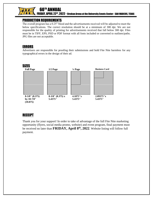

FRIDAY, APRIL 22<sup>nd</sup>, 2022 - Strahan Arena at the University Events Center– SAN MARCOS, TEXAS<br>.

#### PRODUCTION REQUIREMENTS

60TH ANNUAL

The overall program has a 0.25" bleed and the advertisements received will be adjusted to meet the below specifications. The correct resolution should be at a minimum of 300 dpi. We are not responsible for the quality of printing for advertisements received that fall below 300 dpi. Files must be in TIFF, EPS, PSD or PDF format with all fonts included or converted to outlines/paths. JPG files are not acceptable.

#### ERRORS

Advertisers are responsible for proofing their submissions and hold Fite Nite harmless for any typographical errors in the design of their ad.



#### RECEIPT

Thank you for your support! In order to take of advantage of the full Fite Nite marketing opportunity (flyers, social media promo, website) and event program, final payment must be received no later than **FRIDAY, April 8 th, 2022**. Website listing will follow full payment.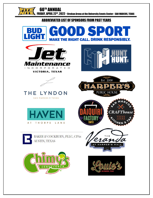60TH ANNUAL

 $\Pi$ 

FRIDAY, APRIL 22<sup>nd</sup>, 2022 - Strahan Arena at the University Events Center– SAN MARCOS, TEXAS<br>.

#### ABBREVIATED LIST OF SPONSORS FROM PAST YEARS









#### THE LYNDON SAN MARCOS \* TEXAS









BAKER & COCKBURN, PLLC, CPAs **AUSTIN, TEXAS**